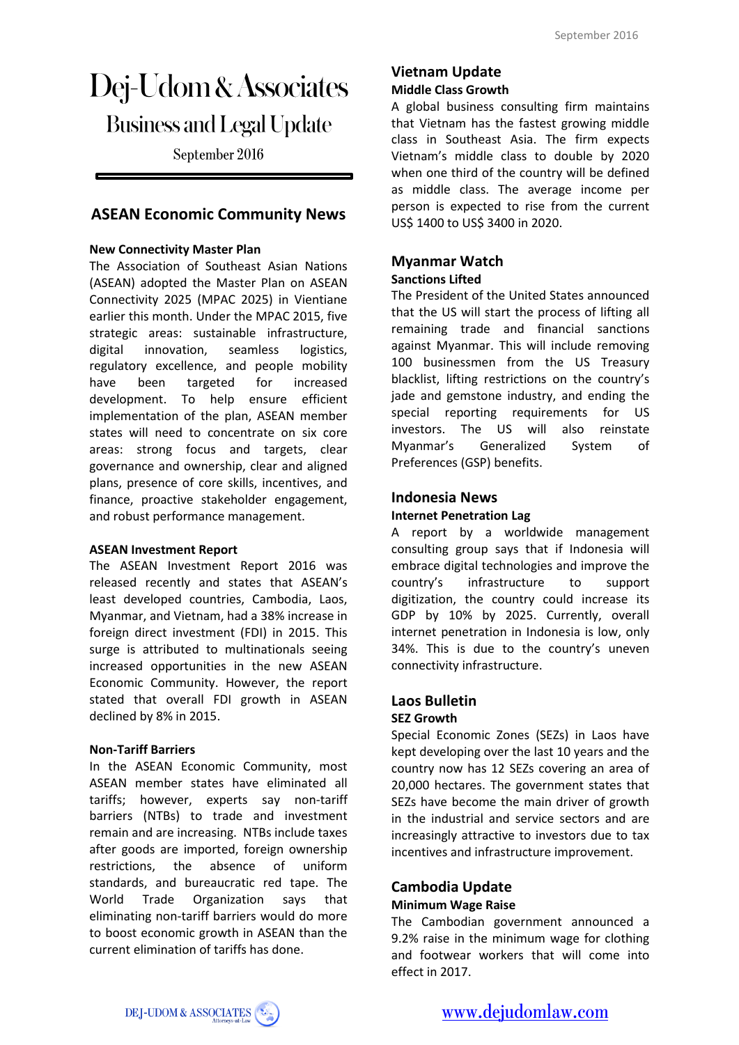# Dej-Udom & Associates **Business and Legal Update**

September 2016

# **ASEAN Economic Community News**

#### **New Connectivity Master Plan**

The Association of Southeast Asian Nations (ASEAN) adopted the Master Plan on ASEAN Connectivity 2025 (MPAC 2025) in Vientiane earlier this month. Under the MPAC 2015, five strategic areas: sustainable infrastructure, digital innovation, seamless logistics, regulatory excellence, and people mobility have been targeted for increased development. To help ensure efficient implementation of the plan, ASEAN member states will need to concentrate on six core areas: strong focus and targets, clear governance and ownership, clear and aligned plans, presence of core skills, incentives, and finance, proactive stakeholder engagement, and robust performance management.

#### **ASEAN Investment Report**

The ASEAN Investment Report 2016 was released recently and states that ASEAN's least developed countries, Cambodia, Laos, Myanmar, and Vietnam, had a 38% increase in foreign direct investment (FDI) in 2015. This surge is attributed to multinationals seeing increased opportunities in the new ASEAN Economic Community. However, the report stated that overall FDI growth in ASEAN declined by 8% in 2015.

#### **Non-Tariff Barriers**

In the ASEAN Economic Community, most ASEAN member states have eliminated all tariffs; however, experts say non-tariff barriers (NTBs) to trade and investment remain and are increasing. NTBs include taxes after goods are imported, foreign ownership restrictions, the absence of uniform standards, and bureaucratic red tape. The World Trade Organization says that eliminating non-tariff barriers would do more to boost economic growth in ASEAN than the current elimination of tariffs has done.

#### **Vietnam Update Middle Class Growth**

A global business consulting firm maintains that Vietnam has the fastest growing middle class in Southeast Asia. The firm expects Vietnam's middle class to double by 2020 when one third of the country will be defined as middle class. The average income per person is expected to rise from the current US\$ 1400 to US\$ 3400 in 2020.

### **Myanmar Watch**

#### **Sanctions Lifted**

The President of the United States announced that the US will start the process of lifting all remaining trade and financial sanctions against Myanmar. This will include removing 100 businessmen from the US Treasury blacklist, lifting restrictions on the country's jade and gemstone industry, and ending the special reporting requirements for US investors. The US will also reinstate Myanmar's Generalized System of Preferences (GSP) benefits.

# **Indonesia News**

#### **Internet Penetration Lag**

A report by a worldwide management consulting group says that if Indonesia will embrace digital technologies and improve the country's infrastructure to support digitization, the country could increase its GDP by 10% by 2025. Currently, overall internet penetration in Indonesia is low, only 34%. This is due to the country's uneven connectivity infrastructure.

# **Laos Bulletin**

#### **SEZ Growth**

Special Economic Zones (SEZs) in Laos have kept developing over the last 10 years and the country now has 12 SEZs covering an area of 20,000 hectares. The government states that SEZs have become the main driver of growth in the industrial and service sectors and are increasingly attractive to investors due to tax incentives and infrastructure improvement.

#### **Cambodia Update Minimum Wage Raise**

The Cambodian government announced a 9.2% raise in the minimum wage for clothing and footwear workers that will come into effect in 2017.